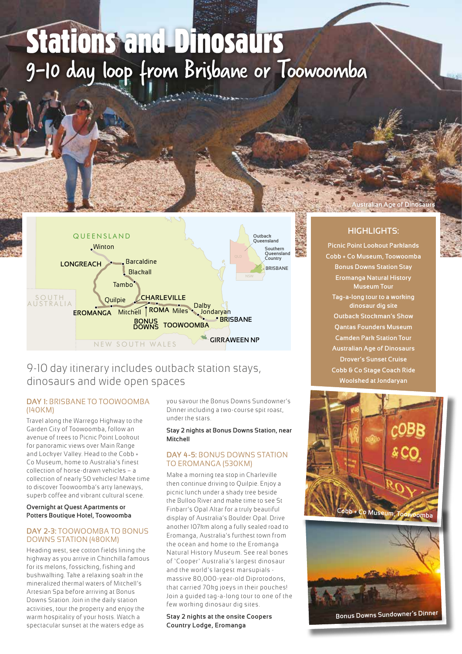# 9-10 day loop from Brisbane or Toowoomba Stations and Dinosaurs



# 9-10 day itinerary includes outback station stays, dinosaurs and wide open spaces

#### **DAY 1:** BRISBANE TO TOOWOOMBA (140KM)

Travel along the Warrego Highway to the Garden City of Toowoomba, follow an avenue of trees to Picnic Point Lookout for panoramic views over Main Range and Lockyer Valley. Head to the Cobb + Co Museum, home to Australia's finest collection of horse-drawn vehicles – a collection of nearly 50 vehicles! Make time to discover Toowoomba's arty laneways, superb coffee and vibrant cultural scene.

#### **Overnight at Quest Apartments or Potters Boutique Hotel, Toowoomba**

#### **DAY 2-3:** TOOWOOMBA TO BONUS DOWNS STATION (480KM)

Heading west, see cotton fields lining the highway as you arrive in Chinchilla famous for its melons, fossicking, fishing and bushwalking. Take a relaxing soak in the mineralized thermal waters of Mitchell's Artesian Spa before arriving at Bonus Downs Station. Join in the daily station activities, tour the property and enjoy the warm hospitality of your hosts. Watch a spectacular sunset at the waters edge as

you savour the Bonus Downs Sundowner's Dinner including a two-course spit roast, under the stars.

#### **Stay 2 nights at Bonus Downs Station, near Mitchell**

### **DAY 4-5:** BONUS DOWNS STATION TO EROMANGA (530KM)

Make a morning tea stop in Charleville then continue driving to Quilpie. Enjoy a picnic lunch under a shady tree beside the Bulloo River and make time to see St Finbarr's Opal Altar for a truly beautiful display of Australia's Boulder Opal. Drive another 107km along a fully sealed road to Eromanga, Australia's furthest town from the ocean and home to the Eromanga Natural History Museum. See real bones of 'Cooper' Australia's largest dinosaur and the world's largest marsupials massive 80,000-year-old Diprotodons, that carried 70kg joeys in their pouches! Join a guided tag-a-long tour to one of the few working dinosaur dig sites.

**Stay 2 nights at the onsite Coopers Country Lodge, Eromanga**

# **HIGHLIGHTS:**

**Australian Age of Dinos** 

**Picnic Point Lookout Parklands Cobb + Co Museum, Toowoomba Bonus Downs Station Stay Eromanga Natural History Museum Tour Tag-a-long tour to a working dinosaur dig site Outback Stockman's Show Qantas Founders Museum Camden Park Station Tour Australian Age of Dinosaurs Drover's Sunset Cruise Cobb & Co Stage Coach Ride Woolshed at Jondaryan**